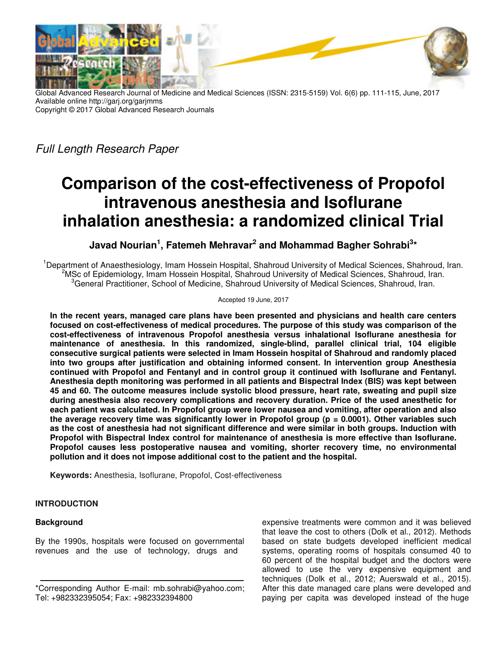

Global Advanced Research Journal of Medicine and Medical Sciences (ISSN: 2315-5159) Vol. 6(6) pp. 111-115, June, 2017 Available online http://garj.org/garjmms Copyright © 2017 Global Advanced Research Journals

Full Length Research Paper

# **Comparison of the cost-effectiveness of Propofol intravenous anesthesia and Isoflurane inhalation anesthesia: a randomized clinical Trial**

**Javad Nourian<sup>1</sup> , Fatemeh Mehravar<sup>2</sup> and Mohammad Bagher Sohrabi<sup>3</sup> \***

<sup>1</sup>Department of Anaesthesiology, Imam Hossein Hospital, Shahroud University of Medical Sciences, Shahroud, Iran. <sup>2</sup>MSc of Epidemiology, Imam Hossein Hospital, Shahroud University of Medical Sciences, Shahroud, Iran.  ${}^{3}$ General Practitioner, School of Medicine, Shahroud University of Medical Sciences, Shahroud, Iran.

Accepted 19 June, 2017

**In the recent years, managed care plans have been presented and physicians and health care centers focused on cost-effectiveness of medical procedures. The purpose of this study was comparison of the cost-effectiveness of intravenous Propofol anesthesia versus inhalational Isoflurane anesthesia for maintenance of anesthesia. In this randomized, single-blind, parallel clinical trial, 104 eligible consecutive surgical patients were selected in Imam Hossein hospital of Shahroud and randomly placed into two groups after justification and obtaining informed consent. In intervention group Anesthesia continued with Propofol and Fentanyl and in control group it continued with Isoflurane and Fentanyl. Anesthesia depth monitoring was performed in all patients and Bispectral Index (BIS) was kept between 45 and 60. The outcome measures include systolic blood pressure, heart rate, sweating and pupil size during anesthesia also recovery complications and recovery duration. Price of the used anesthetic for each patient was calculated. In Propofol group were lower nausea and vomiting, after operation and also the average recovery time was significantly lower in Propofol group (p = 0.0001). Other variables such as the cost of anesthesia had not significant difference and were similar in both groups. Induction with Propofol with Bispectral Index control for maintenance of anesthesia is more effective than Isoflurane. Propofol causes less postoperative nausea and vomiting, shorter recovery time, no environmental pollution and it does not impose additional cost to the patient and the hospital.** 

**Keywords:** Anesthesia, Isoflurane, Propofol, Cost-effectiveness

## **INTRODUCTION**

## **Background**

By the 1990s, hospitals were focused on governmental revenues and the use of technology, drugs and

expensive treatments were common and it was believed that leave the cost to others (Dolk et al., 2012). Methods based on state budgets developed inefficient medical systems, operating rooms of hospitals consumed 40 to 60 percent of the hospital budget and the doctors were allowed to use the very expensive equipment and techniques (Dolk et al., 2012; Auerswald et al., 2015). After this date managed care plans were developed and paying per capita was developed instead of the huge

<sup>\*</sup>Corresponding Author E-mail: mb.sohrabi@yahoo.com; Tel: +982332395054; Fax: +982332394800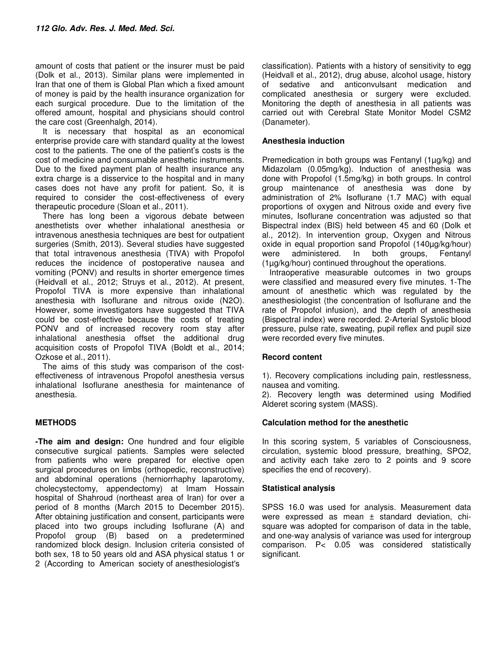amount of costs that patient or the insurer must be paid (Dolk et al., 2013). Similar plans were implemented in Iran that one of them is Global Plan which a fixed amount of money is paid by the health insurance organization for each surgical procedure. Due to the limitation of the offered amount, hospital and physicians should control the care cost (Greenhalgh, 2014).

It is necessary that hospital as an economical enterprise provide care with standard quality at the lowest cost to the patients. The one of the patient's costs is the cost of medicine and consumable anesthetic instruments. Due to the fixed payment plan of health insurance any extra charge is a disservice to the hospital and in many cases does not have any profit for patient. So, it is required to consider the cost-effectiveness of every therapeutic procedure (Sloan et al., 2011).

There has long been a vigorous debate between anesthetists over whether inhalational anesthesia or intravenous anesthesia techniques are best for outpatient surgeries (Smith, 2013). Several studies have suggested that total intravenous anesthesia (TIVA) with Propofol reduces the incidence of postoperative nausea and vomiting (PONV) and results in shorter emergence times (Heidvall et al., 2012; Struys et al., 2012). At present, Propofol TIVA is more expensive than inhalational anesthesia with Isoflurane and nitrous oxide (N2O). However, some investigators have suggested that TIVA could be cost-effective because the costs of treating PONV and of increased recovery room stay after inhalational anesthesia offset the additional drug acquisition costs of Propofol TIVA (Boldt et al., 2014; Ozkose et al., 2011).

The aims of this study was comparison of the costeffectiveness of intravenous Propofol anesthesia versus inhalational Isoflurane anesthesia for maintenance of anesthesia.

## **METHODS**

**-The aim and design:** One hundred and four eligible consecutive surgical patients. Samples were selected from patients who were prepared for elective open surgical procedures on limbs (orthopedic, reconstructive) and abdominal operations (herniorrhaphy laparotomy, cholecystectomy, appendectomy) at Imam Hossain hospital of Shahroud (northeast area of Iran) for over a period of 8 months (March 2015 to December 2015). After obtaining justification and consent, participants were placed into two groups including Isoflurane (A) and Propofol group (B) based on a predetermined randomized block design. Inclusion criteria consisted of both sex, 18 to 50 years old and ASA physical status 1 or 2 (According to American society of anesthesiologist's

classification). Patients with a history of sensitivity to egg (Heidvall et al., 2012), drug abuse, alcohol usage, history of sedative and anticonvulsant medication and complicated anesthesia or surgery were excluded. Monitoring the depth of anesthesia in all patients was carried out with Cerebral State Monitor Model CSM2 (Danameter).

## **Anesthesia induction**

Premedication in both groups was Fentanyl (1µg/kg) and Midazolam (0.05mg/kg). Induction of anesthesia was done with Propofol (1.5mg/kg) in both groups. In control group maintenance of anesthesia was done by administration of 2% Isoflurane (1.7 MAC) with equal proportions of oxygen and Nitrous oxide and every five minutes, Isoflurane concentration was adjusted so that Bispectral index (BIS) held between 45 and 60 (Dolk et al., 2012). In intervention group, Oxygen and Nitrous oxide in equal proportion sand Propofol (140µg/kg/hour) were administered. In both groups, Fentanyl (1µg/kg/hour) continued throughout the operations.

Intraoperative measurable outcomes in two groups were classified and measured every five minutes. 1-The amount of anesthetic which was regulated by the anesthesiologist (the concentration of Isoflurane and the rate of Propofol infusion), and the depth of anesthesia (Bispectral index) were recorded. 2-Arterial Systolic blood pressure, pulse rate, sweating, pupil reflex and pupil size were recorded every five minutes.

## **Record content**

1). Recovery complications including pain, restlessness, nausea and vomiting.

2). Recovery length was determined using Modified Alderet scoring system (MASS).

## **Calculation method for the anesthetic**

In this scoring system, 5 variables of Consciousness, circulation, systemic blood pressure, breathing, SPO2, and activity each take zero to 2 points and 9 score specifies the end of recovery).

### **Statistical analysis**

SPSS 16.0 was used for analysis. Measurement data were expressed as mean ± standard deviation, chisquare was adopted for comparison of data in the table, and one-way analysis of variance was used for intergroup comparison. P< 0.05 was considered statistically significant.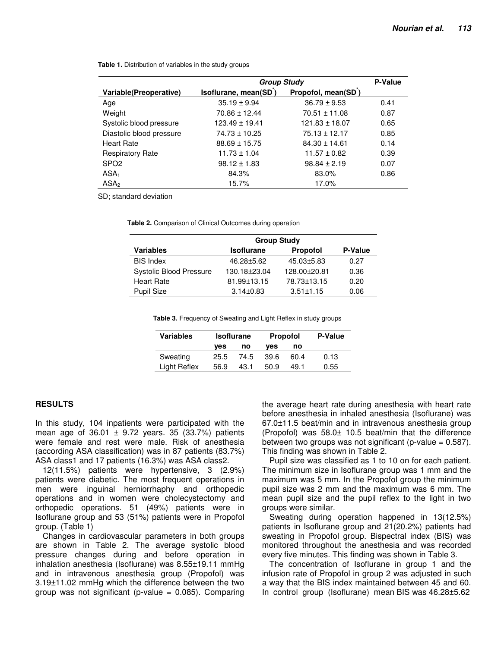|                          | <b>Group Study</b>   | P-Value            |      |
|--------------------------|----------------------|--------------------|------|
| Variable(Preoperative)   | Isoflurane, mean(SD) | Propofol, mean(SD) |      |
| Age                      | $35.19 \pm 9.94$     | $36.79 \pm 9.53$   | 0.41 |
| Weight                   | $70.86 \pm 12.44$    | $70.51 \pm 11.08$  | 0.87 |
| Systolic blood pressure  | $123.49 \pm 19.41$   | $121.83 \pm 18.07$ | 0.65 |
| Diastolic blood pressure | $74.73 \pm 10.25$    | $75.13 \pm 12.17$  | 0.85 |
| <b>Heart Rate</b>        | $88.69 \pm 15.75$    | $84.30 \pm 14.61$  | 0.14 |
| <b>Respiratory Rate</b>  | $11.73 \pm 1.04$     | $11.57 \pm 0.82$   | 0.39 |
| SPO <sub>2</sub>         | $98.12 \pm 1.83$     | $98.84 \pm 2.19$   | 0.07 |
| ASA <sub>1</sub>         | 84.3%                | 83.0%              | 0.86 |
| ASA <sub>2</sub>         | 15.7%                | 17.0%              |      |

**Table 1.** Distribution of variables in the study groups

SD; standard deviation

**Table 2.** Comparison of Clinical Outcomes during operation

|                                | <b>Group Study</b> |                 |                |  |  |  |
|--------------------------------|--------------------|-----------------|----------------|--|--|--|
| <b>Variables</b>               | <b>Isoflurane</b>  | Propofol        | <b>P-Value</b> |  |  |  |
| <b>BIS Index</b>               | 46.28±5.62         | 45.03±5.83      | 0.27           |  |  |  |
| <b>Systolic Blood Pressure</b> | 130.18±23.04       | 128.00±20.81    | 0.36           |  |  |  |
| <b>Heart Rate</b>              | 81.99±13.15        | 78.73±13.15     | 0.20           |  |  |  |
| <b>Pupil Size</b>              | $3.14 \pm 0.83$    | $3.51 \pm 1.15$ | 0.06           |  |  |  |

**Table 3.** Frequency of Sweating and Light Reflex in study groups

| Variables    | <b>Isoflurane</b> |      | <b>Propofol</b> |      | <b>P-Value</b> |
|--------------|-------------------|------|-----------------|------|----------------|
|              | ves               | no   | ves             | no   |                |
| Sweating     | 25.5              | 74.5 | 39.6            | 60.4 | 0.13           |
| Light Reflex | 56.9              | 43.1 | 50.9            | 49.1 | 0.55           |

#### **RESULTS**

In this study, 104 inpatients were participated with the mean age of  $36.01 \pm 9.72$  years. 35 (33.7%) patients were female and rest were male. Risk of anesthesia (according ASA classification) was in 87 patients (83.7%) ASA class1 and 17 patients (16.3%) was ASA class2.

12(11.5%) patients were hypertensive, 3 (2.9%) patients were diabetic. The most frequent operations in men were inguinal herniorrhaphy and orthopedic operations and in women were cholecystectomy and orthopedic operations. 51 (49%) patients were in Isoflurane group and 53 (51%) patients were in Propofol group. (Table 1)

Changes in cardiovascular parameters in both groups are shown in Table 2. The average systolic blood pressure changes during and before operation in inhalation anesthesia (Isoflurane) was 8.55±19.11 mmHg and in intravenous anesthesia group (Propofol) was 3.19±11.02 mmHg which the difference between the two group was not significant (p-value  $= 0.085$ ). Comparing the average heart rate during anesthesia with heart rate before anesthesia in inhaled anesthesia (Isoflurane) was 67.0±11.5 beat/min and in intravenous anesthesia group (Propofol) was 58.0± 10.5 beat/min that the difference between two groups was not significant (p-value  $= 0.587$ ). This finding was shown in Table 2.

Pupil size was classified as 1 to 10 on for each patient. The minimum size in Isoflurane group was 1 mm and the maximum was 5 mm. In the Propofol group the minimum pupil size was 2 mm and the maximum was 6 mm. The mean pupil size and the pupil reflex to the light in two groups were similar.

Sweating during operation happened in 13(12.5%) patients in Isoflurane group and 21(20.2%) patients had sweating in Propofol group. Bispectral index (BIS) was monitored throughout the anesthesia and was recorded every five minutes. This finding was shown in Table 3.

The concentration of Isoflurane in group 1 and the infusion rate of Propofol in group 2 was adjusted in such a way that the BIS index maintained between 45 and 60. In control group (Isoflurane) mean BIS was 46.28±5.62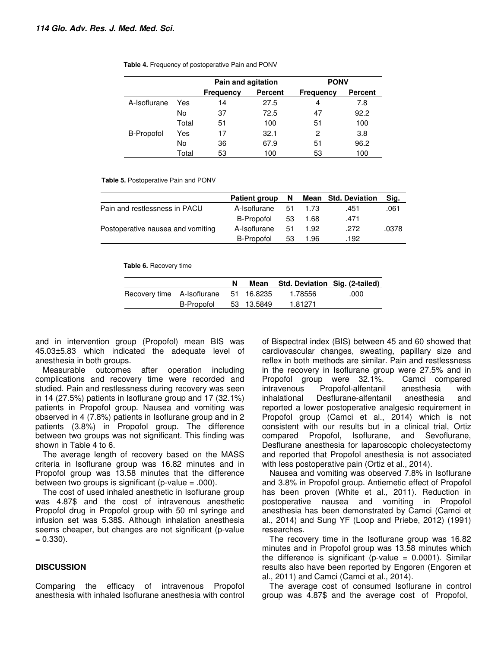|                   |       | Pain and agitation |                | <b>PONV</b>      |                |
|-------------------|-------|--------------------|----------------|------------------|----------------|
|                   |       | <b>Frequency</b>   | <b>Percent</b> | <b>Frequency</b> | <b>Percent</b> |
| A-Isoflurane      | Yes   | 14                 | 27.5           | 4                | 7.8            |
|                   | No    | 37                 | 72.5           | 47               | 92.2           |
|                   | Total | 51                 | 100            | 51               | 100            |
| <b>B-Propofol</b> | Yes   | 17                 | 32.1           | 2                | 3.8            |
|                   | No    | 36                 | 67.9           | 51               | 96.2           |
|                   | Total | 53                 | 100            | 53               | 100            |

**Table 4.** Frequency of postoperative Pain and PONV

**Table 5.** Postoperative Pain and PONV

|                                   | <b>Patient group</b> | - N |      | Mean Std. Deviation | Sig.  |
|-----------------------------------|----------------------|-----|------|---------------------|-------|
| Pain and restlessness in PACU     | A-Isoflurane         | -51 | 1.73 | .451                | .061  |
|                                   | B-Propofol           | 53  | 1.68 | .471                |       |
| Postoperative nausea and vomiting | A-Isoflurane         | -51 | 1.92 | .272                | .0378 |
|                                   | B-Propofol           | 53  | 1.96 | .192                |       |

**Table 6.** Recovery time

|                                       |            | Mean       | Std. Deviation Sig. (2-tailed) |      |
|---------------------------------------|------------|------------|--------------------------------|------|
| Recovery time A-Isoflurane 51 16.8235 |            |            | 1.78556                        | .000 |
|                                       | B-Propofol | 53 13.5849 | 1.81271                        |      |

and in intervention group (Propofol) mean BIS was 45.03±5.83 which indicated the adequate level of anesthesia in both groups.

Measurable outcomes after operation including complications and recovery time were recorded and studied. Pain and restlessness during recovery was seen in 14 (27.5%) patients in Isoflurane group and 17 (32.1%) patients in Propofol group. Nausea and vomiting was observed in 4 (7.8%) patients in Isoflurane group and in 2 patients (3.8%) in Propofol group. The difference between two groups was not significant. This finding was shown in Table 4 to 6.

The average length of recovery based on the MASS criteria in Isoflurane group was 16.82 minutes and in Propofol group was 13.58 minutes that the difference between two groups is significant (p-value  $= .000$ ).

The cost of used inhaled anesthetic in Isoflurane group was 4.87\$ and the cost of intravenous anesthetic Propofol drug in Propofol group with 50 ml syringe and infusion set was 5.38\$. Although inhalation anesthesia seems cheaper, but changes are not significant (p-value  $= 0.330$ ).

### **DISCUSSION**

Comparing the efficacy of intravenous Propofol anesthesia with inhaled Isoflurane anesthesia with control of Bispectral index (BIS) between 45 and 60 showed that cardiovascular changes, sweating, papillary size and reflex in both methods are similar. Pain and restlessness in the recovery in Isoflurane group were 27.5% and in Propofol group were 32.1%. Camci compared intravenous Propofol-alfentanil anesthesia with inhalational Desflurane-alfentanil anesthesia and reported a lower postoperative analgesic requirement in Propofol group (Camci et al., 2014) which is not consistent with our results but in a clinical trial, Ortiz compared Propofol, Isoflurane, and Sevoflurane, Desflurane anesthesia for laparoscopic cholecystectomy and reported that Propofol anesthesia is not associated with less postoperative pain (Ortiz et al., 2014).

Nausea and vomiting was observed 7.8% in Isoflurane and 3.8% in Propofol group. Antiemetic effect of Propofol has been proven (White et al., 2011). Reduction in postoperative nausea and vomiting in Propofol anesthesia has been demonstrated by Camci (Camci et al., 2014) and Sung YF (Loop and Priebe, 2012) (1991) researches.

The recovery time in the Isoflurane group was 16.82 minutes and in Propofol group was 13.58 minutes which the difference is significant (p-value  $= 0.0001$ ). Similar results also have been reported by Engoren (Engoren et al., 2011) and Camci (Camci et al., 2014).

The average cost of consumed Isoflurane in control group was 4.87\$ and the average cost of Propofol,